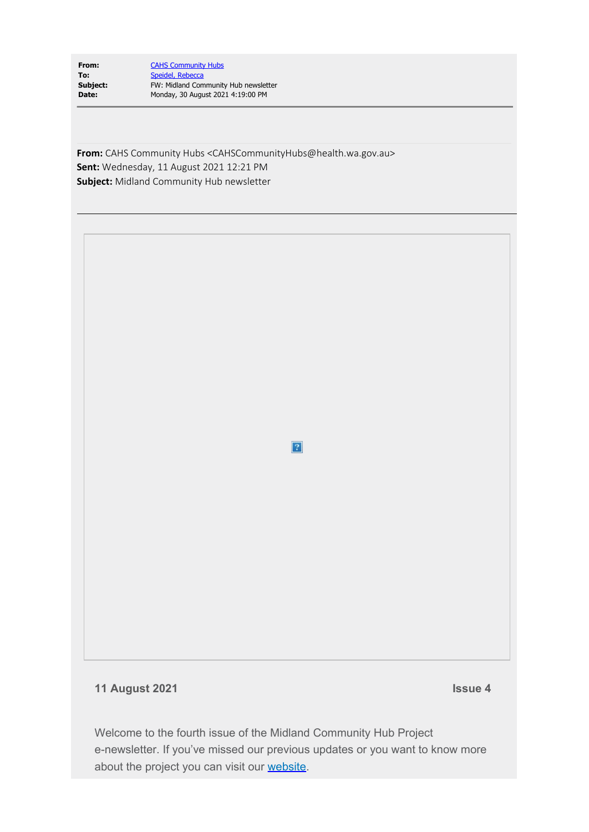| From:    | <b>CAHS Community Hubs</b>           |
|----------|--------------------------------------|
| To:      | Speidel, Rebecca                     |
| Subject: | FW: Midland Community Hub newsletter |
| Date:    | Monday, 30 August 2021 4:19:00 PM    |
|          |                                      |

**From:** CAHS Community Hubs <CAHSCommunityHubs@health.wa.gov.au> **Sent:** Wednesday, 11 August 2021 12:21 PM **Subject:** Midland Community Hub newsletter

 $\overline{?}$ 

**11 August 2021 Issue 4**

Welcome to the fourth issue of the Midland Community Hub Project e-newsletter. If you've missed our previous updates or you want to know more about the project you can visit our [website](https://www.cahs.health.wa.gov.au/Our-services/Midland-Community-Health-Hub).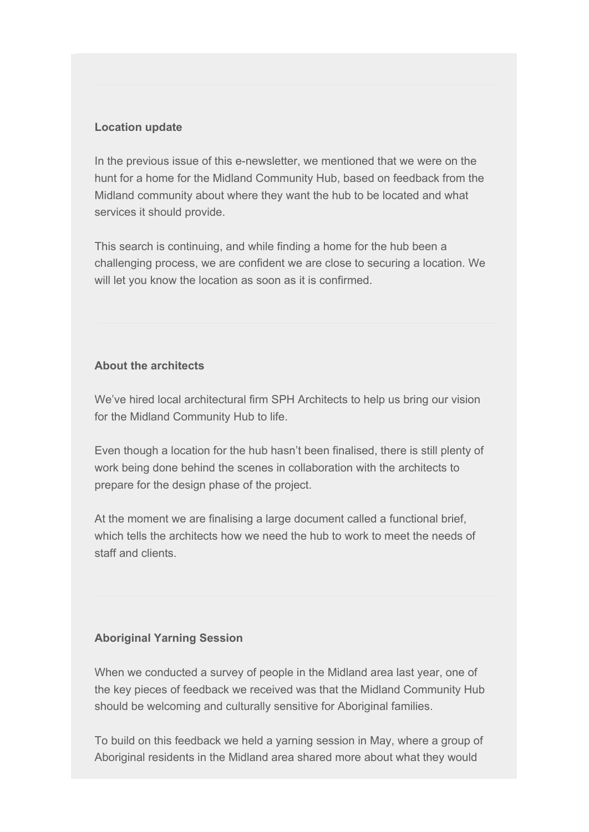## **Location update**

In the previous issue of this e-newsletter, we mentioned that we were on the hunt for a home for the Midland Community Hub, based on feedback from the Midland community about where they want the hub to be located and what services it should provide.

This search is continuing, and while finding a home for the hub been a challenging process, we are confident we are close to securing a location. We will let you know the location as soon as it is confirmed.

## **About the architects**

We've hired local architectural firm SPH Architects to help us bring our vision for the Midland Community Hub to life.

Even though a location for the hub hasn't been finalised, there is still plenty of work being done behind the scenes in collaboration with the architects to prepare for the design phase of the project.

At the moment we are finalising a large document called a functional brief, which tells the architects how we need the hub to work to meet the needs of staff and clients.

## **Aboriginal Yarning Session**

When we conducted a survey of people in the Midland area last year, one of the key pieces of feedback we received was that the Midland Community Hub should be welcoming and culturally sensitive for Aboriginal families.

To build on this feedback we held a yarning session in May, where a group of Aboriginal residents in the Midland area shared more about what they would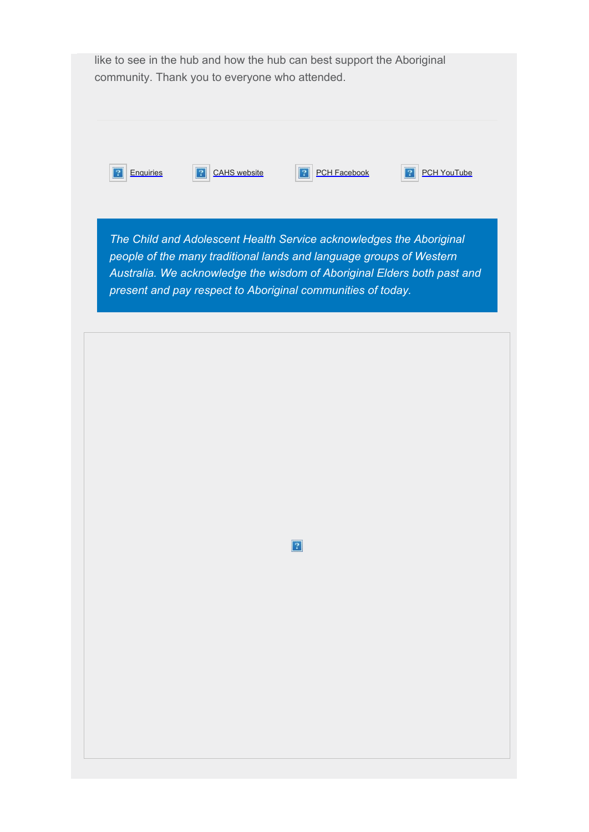